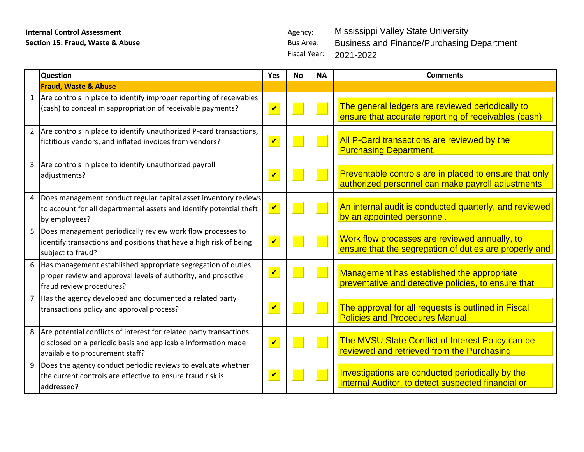## **Internal Control Assessment Agency: Section 15: Fraud, Waste & Abuse Agency: Agency: Bus Area: Bus Area: Section 15: Fraud, Waste & Abuse**

Fiscal Year: Mississippi Valley State University Business and Finance/Purchasing Department 2021-2022

|              | Question                                                                                                                                                                 | Yes                        | <b>No</b> | <b>NA</b> | <b>Comments</b>                                                                                             |
|--------------|--------------------------------------------------------------------------------------------------------------------------------------------------------------------------|----------------------------|-----------|-----------|-------------------------------------------------------------------------------------------------------------|
|              | <b>Fraud, Waste &amp; Abuse</b>                                                                                                                                          |                            |           |           |                                                                                                             |
| $\mathbf{1}$ | Are controls in place to identify improper reporting of receivables<br>(cash) to conceal misappropriation of receivable payments?                                        | $\overline{\mathbf{v}}$    |           |           | The general ledgers are reviewed periodically to<br>ensure that accurate reporting of receivables (cash)    |
|              | 2 Are controls in place to identify unauthorized P-card transactions,<br>fictitious vendors, and inflated invoices from vendors?                                         | $\overline{\mathbf{v}}$    |           |           | All P-Card transactions are reviewed by the<br><b>Purchasing Department.</b>                                |
|              | 3 Are controls in place to identify unauthorized payroll<br>adjustments?                                                                                                 | $\boldsymbol{\mathcal{U}}$ |           |           | Preventable controls are in placed to ensure that only<br>authorized personnel can make payroll adjustments |
| 4            | Does management conduct regular capital asset inventory reviews<br>to account for all departmental assets and identify potential theft<br>by employees?                  | $\overline{\mathbf{v}}$    |           |           | An internal audit is conducted quarterly, and reviewed<br>by an appointed personnel.                        |
| 5            | Does management periodically review work flow processes to<br>identify transactions and positions that have a high risk of being<br>subject to fraud?                    | $\overline{\mathbf{v}}$    |           |           | Work flow processes are reviewed annually, to<br>ensure that the segregation of duties are properly and     |
|              | 6 Has management established appropriate segregation of duties,<br>proper review and approval levels of authority, and proactive<br>fraud review procedures?             | $\overline{\mathbf{v}}$    |           |           | Management has established the appropriate<br>preventative and detective policies, to ensure that           |
|              | Has the agency developed and documented a related party<br>transactions policy and approval process?                                                                     | $\boldsymbol{\mathcal{U}}$ |           |           | The approval for all requests is outlined in Fiscal<br><b>Policies and Procedures Manual.</b>               |
|              | 8 Are potential conflicts of interest for related party transactions<br>disclosed on a periodic basis and applicable information made<br>available to procurement staff? | $\overline{\mathbf{v}}$    |           |           | The MVSU State Conflict of Interest Policy can be<br>reviewed and retrieved from the Purchasing             |
| 9            | Does the agency conduct periodic reviews to evaluate whether<br>the current controls are effective to ensure fraud risk is<br>addressed?                                 | $\boldsymbol{\mathcal{U}}$ |           |           | Investigations are conducted periodically by the<br>Internal Auditor, to detect suspected financial or      |